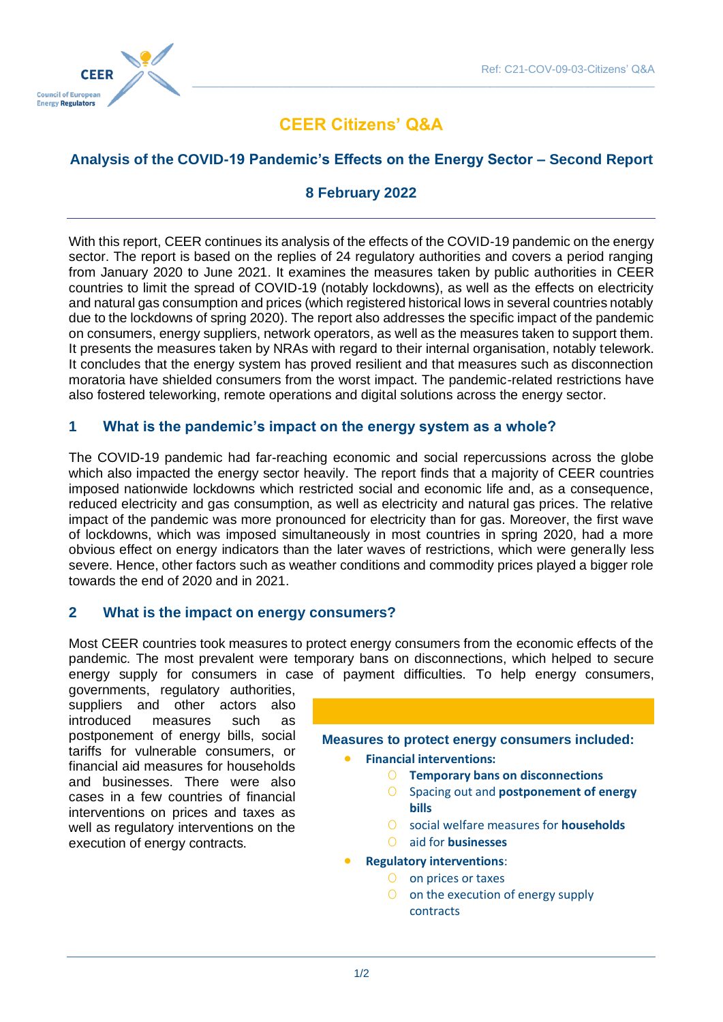

# **CEER Citizens' Q&A**

 $\_$  , and the set of the set of the set of the set of the set of the set of the set of the set of the set of the set of the set of the set of the set of the set of the set of the set of the set of the set of the set of th

# **Analysis of the COVID-19 Pandemic's Effects on the Energy Sector – Second Report**

### **8 February 2022**

With this report, CEER continues its analysis of the effects of the COVID-19 pandemic on the energy sector. The report is based on the replies of 24 regulatory authorities and covers a period ranging from January 2020 to June 2021. It examines the measures taken by public authorities in CEER countries to limit the spread of COVID-19 (notably lockdowns), as well as the effects on electricity and natural gas consumption and prices (which registered historical lows in several countries notably due to the lockdowns of spring 2020). The report also addresses the specific impact of the pandemic on consumers, energy suppliers, network operators, as well as the measures taken to support them. It presents the measures taken by NRAs with regard to their internal organisation, notably telework. It concludes that the energy system has proved resilient and that measures such as disconnection moratoria have shielded consumers from the worst impact. The pandemic-related restrictions have also fostered teleworking, remote operations and digital solutions across the energy sector.

#### **1 What is the pandemic's impact on the energy system as a whole?**

The COVID-19 pandemic had far-reaching economic and social repercussions across the globe which also impacted the energy sector heavily. The report finds that a majority of CEER countries imposed nationwide lockdowns which restricted social and economic life and, as a consequence, reduced electricity and gas consumption, as well as electricity and natural gas prices. The relative impact of the pandemic was more pronounced for electricity than for gas. Moreover, the first wave of lockdowns, which was imposed simultaneously in most countries in spring 2020, had a more obvious effect on energy indicators than the later waves of restrictions, which were generally less severe. Hence, other factors such as weather conditions and commodity prices played a bigger role towards the end of 2020 and in 2021.

#### **2 What is the impact on energy consumers?**

Most CEER countries took measures to protect energy consumers from the economic effects of the pandemic. The most prevalent were temporary bans on disconnections, which helped to secure energy supply for consumers in case of payment difficulties. To help energy consumers,

governments, regulatory authorities, suppliers and other actors also introduced measures such as postponement of energy bills, social tariffs for vulnerable consumers, or financial aid measures for households and businesses. There were also cases in a few countries of financial interventions on prices and taxes as well as regulatory interventions on the execution of energy contracts.

**Measures to protect energy consumers included:**

- **Financial interventions:**
	- O **Temporary bans on disconnections**
	- O Spacing out and **postponement of energy bills**
	- O social welfare measures for **households**
	- O aid for **businesses**
- **Regulatory interventions**:
	- O on prices or taxes
	- O on the execution of energy supply contracts